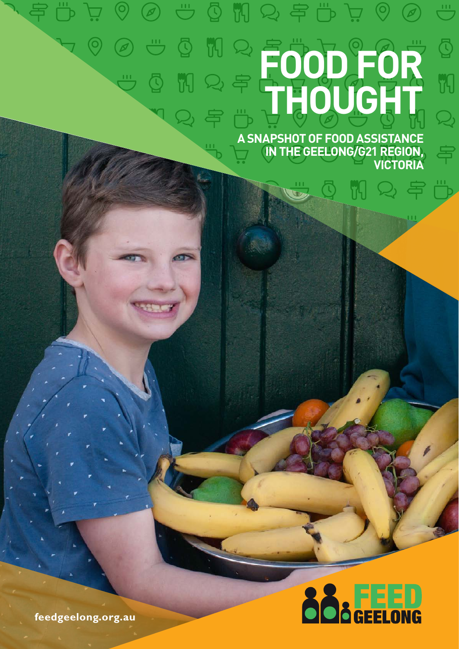### $\bigcirc$ **MA** 5 岁 ҃҅  $\mathbb{C}$ Ŭ<sup>{</sup> **FOOD FOR UV THOUGHT**  $\overline{\mathcal{L}}$

**A SNAPSHOT OF FOOD ASSISTANCE IN THE GEELONG/G21 REGION, VICTORIA**



**feedgeelong.org.au**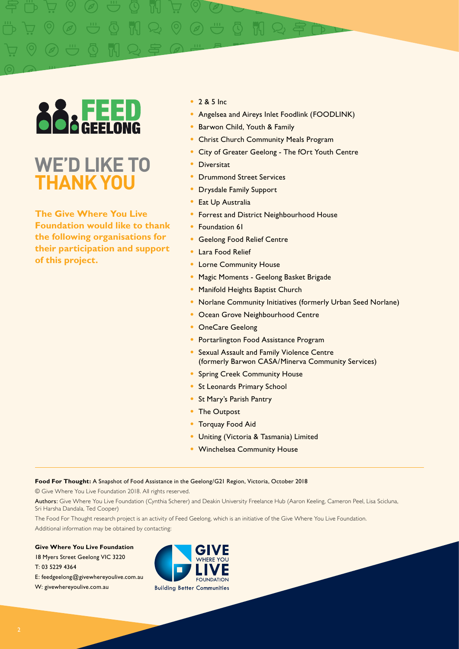# **WE'D LIKE TO THANK YOU**

**The Give Where You Live Foundation would like to thank the following organisations for their participation and support of this project.**

#### • 2 & 5 Inc

- Angelsea and Aireys Inlet Foodlink (FOODLINK)
- Barwon Child, Youth & Family
- Christ Church Community Meals Program
- City of Greater Geelong The fOrt Youth Centre
- **Diversitat**
- Drummond Street Services
- Drysdale Family Support
- Eat Up Australia
- Forrest and District Neighbourhood House
- Foundation 61
- Geelong Food Relief Centre
- Lara Food Relief
- Lorne Community House
- Magic Moments Geelong Basket Brigade
- Manifold Heights Baptist Church
- Norlane Community Initiatives (formerly Urban Seed Norlane)
- Ocean Grove Neighbourhood Centre
- OneCare Geelong
- Portarlington Food Assistance Program
- Sexual Assault and Family Violence Centre (formerly Barwon CASA/Minerva Community Services)
- Spring Creek Community House
- St Leonards Primary School
- St Mary's Parish Pantry
- The Outpost
- Torquay Food Aid
- Uniting (Victoria & Tasmania) Limited
- Winchelsea Community House

#### **Food For Thought:** A Snapshot of Food Assistance in the Geelong/G21 Region, Victoria, October 2018

© Give Where You Live Foundation 2018. All rights reserved.

Authors: Give Where You Live Foundation (Cynthia Scherer) and Deakin University Freelance Hub (Aaron Keeling, Cameron Peel, Lisa Scicluna, Sri Harsha Dandala, Ted Cooper)

The Food For Thought research project is an activity of Feed Geelong, which is an initiative of the Give Where You Live Foundation. Additional information may be obtained by contacting:

**Give Where You Live Foundation** 18 Myers Street Geelong VIC 3220 T: 03 5229 4364 E: feedgeelong@givewhereyoulive.com.au

W: givewhereyoulive.com.au

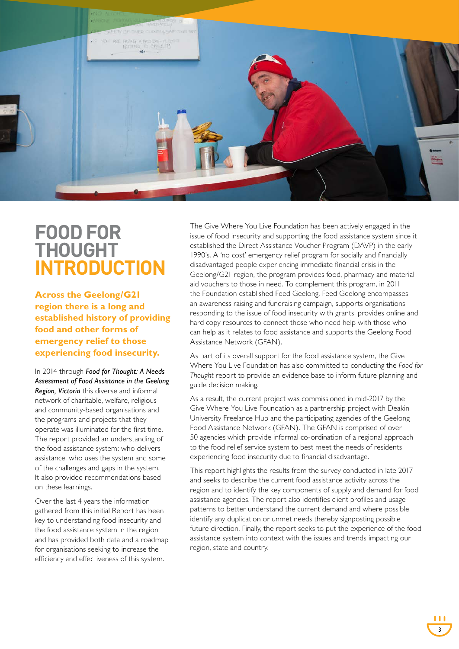

### **FOOD FOR THOUGHT INTRODUCTION**

**Across the Geelong/G21 region there is a long and established history of providing food and other forms of emergency relief to those experiencing food insecurity.**

In 2014 through *Food for Thought: A Needs Assessment of Food Assistance in the Geelong Region, Victoria* this diverse and informal network of charitable, welfare, religious and community-based organisations and the programs and projects that they operate was illuminated for the first time. The report provided an understanding of the food assistance system: who delivers assistance, who uses the system and some of the challenges and gaps in the system. It also provided recommendations based on these learnings.

Over the last 4 years the information gathered from this initial Report has been key to understanding food insecurity and the food assistance system in the region and has provided both data and a roadmap for organisations seeking to increase the efficiency and effectiveness of this system.

The Give Where You Live Foundation has been actively engaged in the issue of food insecurity and supporting the food assistance system since it established the Direct Assistance Voucher Program (DAVP) in the early 1990's. A 'no cost' emergency relief program for socially and financially disadvantaged people experiencing immediate financial crisis in the Geelong/G21 region, the program provides food, pharmacy and material aid vouchers to those in need. To complement this program, in 2011 the Foundation established Feed Geelong. Feed Geelong encompasses an awareness raising and fundraising campaign, supports organisations responding to the issue of food insecurity with grants, provides online and hard copy resources to connect those who need help with those who can help as it relates to food assistance and supports the Geelong Food Assistance Network (GFAN).

As part of its overall support for the food assistance system, the Give Where You Live Foundation has also committed to conducting the *Food for Thought* report to provide an evidence base to inform future planning and guide decision making.

As a result, the current project was commissioned in mid-2017 by the Give Where You Live Foundation as a partnership project with Deakin University Freelance Hub and the participating agencies of the Geelong Food Assistance Network (GFAN). The GFAN is comprised of over 50 agencies which provide informal co-ordination of a regional approach to the food relief service system to best meet the needs of residents experiencing food insecurity due to financial disadvantage.

This report highlights the results from the survey conducted in late 2017 and seeks to describe the current food assistance activity across the region and to identify the key components of supply and demand for food assistance agencies. The report also identifies client profiles and usage patterns to better understand the current demand and where possible identify any duplication or unmet needs thereby signposting possible future direction. Finally, the report seeks to put the experience of the food assistance system into context with the issues and trends impacting our region, state and country.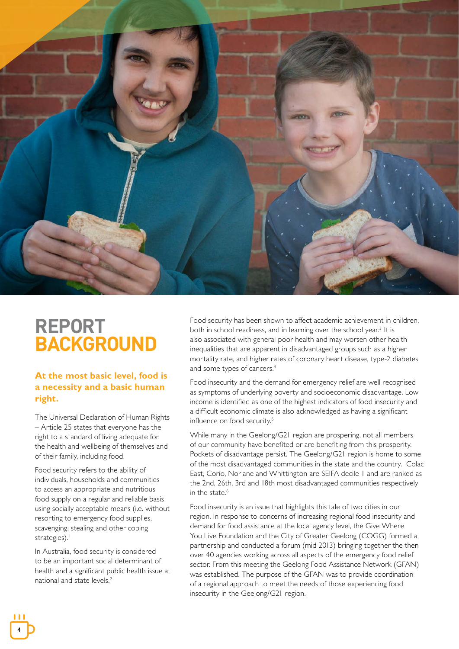

# **REPORT BACKGROUND**

### **At the most basic level, food is a necessity and a basic human right.**

The Universal Declaration of Human Rights – Article 25 states that everyone has the right to a standard of living adequate for the health and wellbeing of themselves and of their family, including food.

Food security refers to the ability of individuals, households and communities to access an appropriate and nutritious food supply on a regular and reliable basis using socially acceptable means (i.e. without resorting to emergency food supplies, scavenging, stealing and other coping strategies).<sup>1</sup>

In Australia, food security is considered to be an important social determinant of health and a significant public health issue at national and state levels<sup>2</sup>

Food security has been shown to affect academic achievement in children, both in school readiness, and in learning over the school year.<sup>3</sup> It is also associated with general poor health and may worsen other health inequalities that are apparent in disadvantaged groups such as a higher mortality rate, and higher rates of coronary heart disease, type-2 diabetes and some types of cancers.<sup>4</sup>

Food insecurity and the demand for emergency relief are well recognised as symptoms of underlying poverty and socioeconomic disadvantage. Low income is identified as one of the highest indicators of food insecurity and a difficult economic climate is also acknowledged as having a significant influence on food security.<sup>5</sup>

While many in the Geelong/G21 region are prospering, not all members of our community have benefited or are benefiting from this prosperity. Pockets of disadvantage persist. The Geelong/G21 region is home to some of the most disadvantaged communities in the state and the country. Colac East, Corio, Norlane and Whittington are SEIFA decile 1 and are ranked as the 2nd, 26th, 3rd and 18th most disadvantaged communities respectively in the state.<sup>6</sup>

Food insecurity is an issue that highlights this tale of two cities in our region. In response to concerns of increasing regional food insecurity and demand for food assistance at the local agency level, the Give Where You Live Foundation and the City of Greater Geelong (COGG) formed a partnership and conducted a forum (mid 2013) bringing together the then over 40 agencies working across all aspects of the emergency food relief sector. From this meeting the Geelong Food Assistance Network (GFAN) was established. The purpose of the GFAN was to provide coordination of a regional approach to meet the needs of those experiencing food insecurity in the Geelong/G21 region.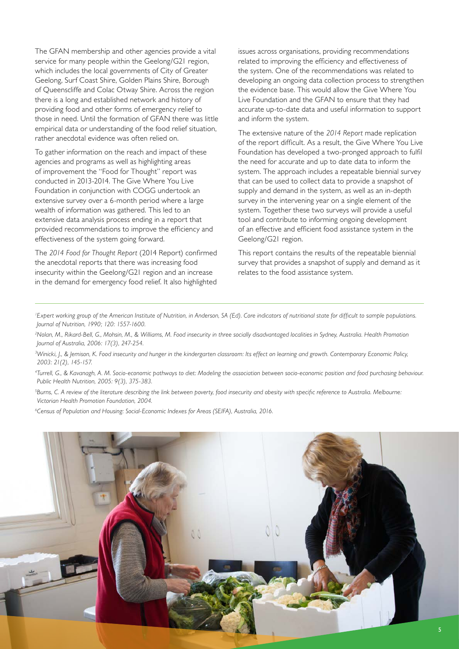The GFAN membership and other agencies provide a vital service for many people within the Geelong/G21 region, which includes the local governments of City of Greater Geelong, Surf Coast Shire, Golden Plains Shire, Borough of Queenscliffe and Colac Otway Shire. Across the region there is a long and established network and history of providing food and other forms of emergency relief to those in need. Until the formation of GFAN there was little empirical data or understanding of the food relief situation, rather anecdotal evidence was often relied on.

To gather information on the reach and impact of these agencies and programs as well as highlighting areas of improvement the "Food for Thought" report was conducted in 2013-2014. The Give Where You Live Foundation in conjunction with COGG undertook an extensive survey over a 6-month period where a large wealth of information was gathered. This led to an extensive data analysis process ending in a report that provided recommendations to improve the efficiency and effectiveness of the system going forward.

The *2014 Food for Thought Report* (2014 Report) confirmed the anecdotal reports that there was increasing food insecurity within the Geelong/G21 region and an increase in the demand for emergency food relief. It also highlighted issues across organisations, providing recommendations related to improving the efficiency and effectiveness of the system. One of the recommendations was related to developing an ongoing data collection process to strengthen the evidence base. This would allow the Give Where You Live Foundation and the GFAN to ensure that they had accurate up-to-date data and useful information to support and inform the system.

The extensive nature of the *2014 Report* made replication of the report difficult. As a result, the Give Where You Live Foundation has developed a two-pronged approach to fulfil the need for accurate and up to date data to inform the system. The approach includes a repeatable biennial survey that can be used to collect data to provide a snapshot of supply and demand in the system, as well as an in-depth survey in the intervening year on a single element of the system. Together these two surveys will provide a useful tool and contribute to informing ongoing development of an effective and efficient food assistance system in the Geelong/G21 region.

This report contains the results of the repeatable biennial survey that provides a snapshot of supply and demand as it relates to the food assistance system.

<sup>1</sup> Expert working group of the American Institute of Nutrition, in Anderson, SA (Ed). Core indicators of nutritional state for difficult to sample populations. *Journal of Nutrition, 1990; 120: 1557-1600.*

*2 Nolan, M., Rikard-Bell, G., Mohsin, M., & Williams, M. Food insecurity in three socially disadvantaged localities in Sydney, Australia. Health Promotion Journal of Australia, 2006: 17(3), 247-254.*

*3 Winicki, J., & Jemison, K. Food insecurity and hunger in the kindergarten classroom: Its effect on learning and growth. Contemporary Economic Policy, 2003: 21(2), 145-157.*

*4 Turrell, G., & Kavanagh, A. M. Socio-economic pathways to diet: Modeling the association between socio-economic position and food purchasing behaviour. Public Health Nutrition, 2005: 9(3), 375-383.*

*5 Burns, C. A review of the literature describing the link between poverty, food insecurity and obesity with specific reference to Australia. Melbourne: Victorian Health Promotion Foundation, 2004.*

*6 Census of Population and Housing: Social-Economic Indexes for Areas (SEIFA), Australia, 2016.*

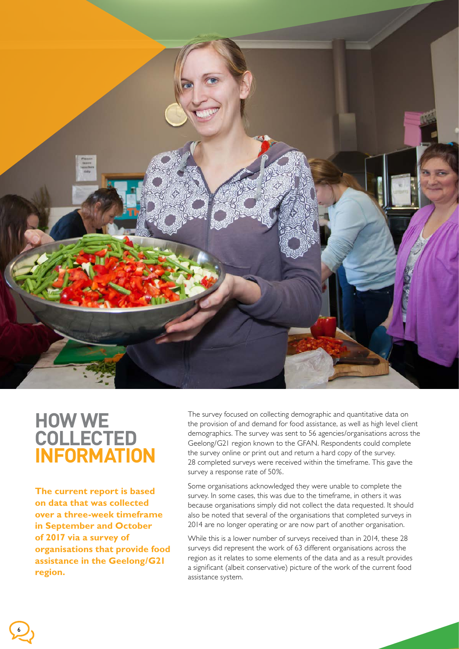

## **HOW WE COLLECTED INFORMATION**

**The current report is based on data that was collected over a three-week timeframe in September and October of 2017 via a survey of organisations that provide food assistance in the Geelong/G21 region.** 

The survey focused on collecting demographic and quantitative data on the provision of and demand for food assistance, as well as high level client demographics. The survey was sent to 56 agencies/organisations across the Geelong/G21 region known to the GFAN. Respondents could complete the survey online or print out and return a hard copy of the survey. 28 completed surveys were received within the timeframe. This gave the survey a response rate of 50%.

Some organisations acknowledged they were unable to complete the survey. In some cases, this was due to the timeframe, in others it was because organisations simply did not collect the data requested. It should also be noted that several of the organisations that completed surveys in 2014 are no longer operating or are now part of another organisation.

While this is a lower number of surveys received than in 2014, these 28 surveys did represent the work of 63 different organisations across the region as it relates to some elements of the data and as a result provides a significant (albeit conservative) picture of the work of the current food assistance system.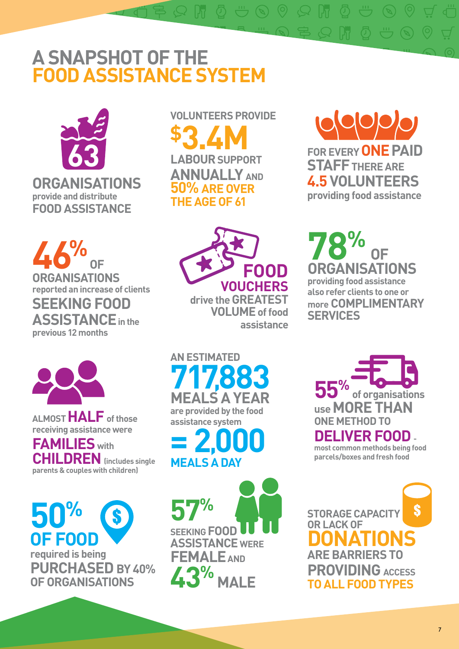# **A SNAPSHOT OF THE FOOD ASSISTANCE SYSTEM**



**ORGANISATIONS provide and distribute FOOD ASSISTANCE**

**46% OF ORGANISATIONS reported an increase of clients SEEKING FOOD ASSISTANCE in the previous 12 months**



**ALMOST HALF of those receiving assistance were FAMILIES with CHILDREN (includes single parents & couples with children)**

**50%** S **OF FOOD**

**required is being PURCHASED BY 40% OF ORGANISATIONS**

**VOLUNTEERS PROVIDE \$3.4M LABOURSUPPORT ANNUALLY AND 50% ARE OVER THE AGE OF 61**

 $\stackrel{m}{\leftrightarrow}$  (2)  $\stackrel{m}{\leftrightarrow}$ 



**drive the GREATEST VOLUME of food assistance** **FOR EVERY ONE PAID STAFF THERE ARE 4.5 VOLUNTEERS providing food assistance**

**78% OF ORGANISATIONS providing food assistance also refer clients to one or more COMPLIMENTARY SERVICES**

**AN ESTIMATED 717,883 MEALS A YEAR are provided by the food assistance system**

**= 2,000 MEALS A DAY**

**57% SEEKING FOOD ASSISTANCE WERE FEMALE** AND **MALE** 

**55% of organisations use MORE THAN ONE METHOD TO DELIVER FOODmost common methods being food parcels/boxes and fresh food**

**STORAGE CAPACITY OR LACK OF DONATIONS ARE BARRIERS TO PROVIDING ACCESS TO ALL FOOD TYPES**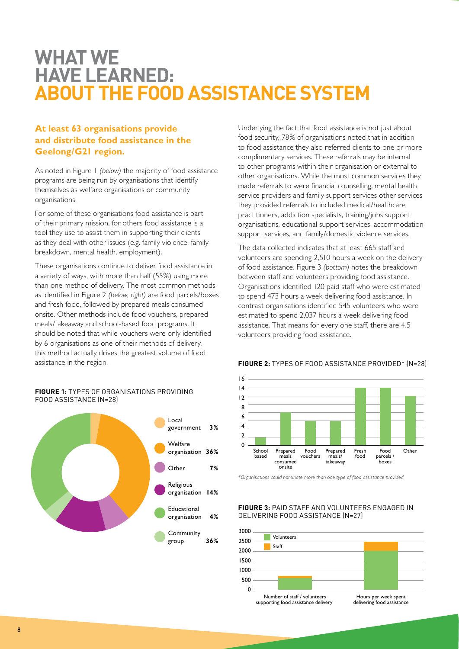## **WHAT WE HAVE LEARNED: ABOUT THE FOOD ASSISTANCE SYSTEM**

### **At least 63 organisations provide and distribute food assistance in the Geelong/G21 region.**

As noted in Figure 1 *(below)* the majority of food assistance programs are being run by organisations that identify themselves as welfare organisations or community organisations.

For some of these organisations food assistance is part of their primary mission, for others food assistance is a tool they use to assist them in supporting their clients as they deal with other issues (e.g. family violence, family breakdown, mental health, employment).

These organisations continue to deliver food assistance in a variety of ways, with more than half (55%) using more than one method of delivery. The most common methods as identified in Figure 2 *(below, right)* are food parcels/boxes and fresh food, followed by prepared meals consumed onsite. Other methods include food vouchers, prepared meals/takeaway and school-based food programs. It should be noted that while vouchers were only identified by 6 organisations as one of their methods of delivery, this method actually drives the greatest volume of food assistance in the region.

Local government **3%** Welfare organisation **36%** Other **7%** Religious organisation **14%** Educational organisation **4% Community** group **36%**

#### **FIGURE 1:** TYPES OF ORGANISATIONS PROVIDING FOOD ASSISTANCE (N=28)

Underlying the fact that food assistance is not just about food security, 78% of organisations noted that in addition to food assistance they also referred clients to one or more complimentary services. These referrals may be internal to other programs within their organisation or external to other organisations. While the most common services they made referrals to were financial counselling, mental health service providers and family support services other services they provided referrals to included medical/healthcare practitioners, addiction specialists, training/jobs support organisations, educational support services, accommodation support services, and family/domestic violence services.

The data collected indicates that at least 665 staff and volunteers are spending 2,510 hours a week on the delivery of food assistance. Figure 3 *(bottom)* notes the breakdown between staff and volunteers providing food assistance. Organisations identified 120 paid staff who were estimated to spend 473 hours a week delivering food assistance. In contrast organisations identified 545 volunteers who were estimated to spend 2,037 hours a week delivering food assistance. That means for every one staff, there are 4.5 volunteers providing food assistance.



### **FIGURE 2:** TYPES OF FOOD ASSISTANCE PROVIDED\* (N=28)

*\*Organisations could nominate more than one type of food assistance provided.*





supporting food assistance delivery

delivering food assistance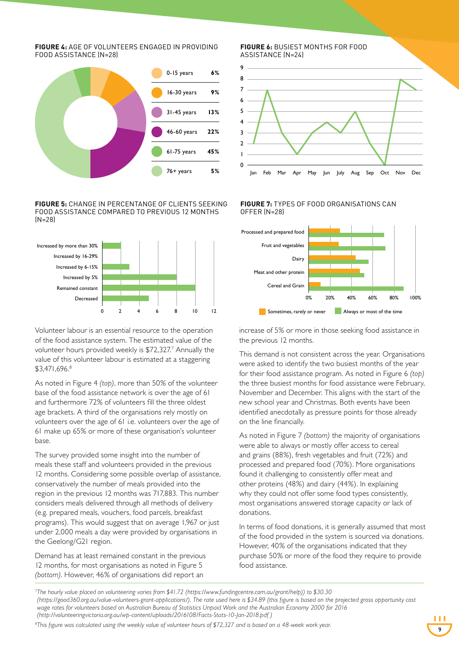**FIGURE 4:** AGE OF VOLUNTEERS ENGAGED IN PROVIDING FOOD ASSISTANCE (N=28)



**FIGURE 5:** CHANGE IN PERCENTANGE OF CLIENTS SEEKING FOOD ASSISTANCE COMPARED TO PREVIOUS 12 MONTHS (N=28)



Volunteer labour is an essential resource to the operation of the food assistance system. The estimated value of the volunteer hours provided weekly is \$72,327.<sup>7</sup> Annually the value of this volunteer labour is estimated at a staggering \$3,471,696.8

As noted in Figure 4 *(top)*, more than 50% of the volunteer base of the food assistance network is over the age of 61 and furthermore 72% of volunteers fill the three oldest age brackets. A third of the organisations rely mostly on volunteers over the age of 61 i.e. volunteers over the age of 61 make up 65% or more of these organisation's volunteer base.

The survey provided some insight into the number of meals these staff and volunteers provided in the previous 12 months. Considering some possible overlap of assistance, conservatively the number of meals provided into the region in the previous 12 months was 717,883. This number considers meals delivered through all methods of delivery (e.g. prepared meals, vouchers, food parcels, breakfast programs). This would suggest that on average 1,967 or just under 2,000 meals a day were provided by organisations in the Geelong/G21 region.

Demand has at least remained constant in the previous 12 months, for most organisations as noted in Figure 5 *(bottom)*. However, 46% of organisations did report an

**FIGURE 6:** BUSIEST MONTHS FOR FOOD ASSISTANCE (N=24)



**FIGURE 7:** TYPES OF FOOD ORGANISATIONS CAN OFFER (N=28)



increase of 5% or more in those seeking food assistance in the previous 12 months.

This demand is not consistent across the year. Organisations were asked to identify the two busiest months of the year for their food assistance program. As noted in Figure 6 *(top)* the three busiest months for food assistance were February, November and December. This aligns with the start of the new school year and Christmas. Both events have been identified anecdotally as pressure points for those already on the line financially.

As noted in Figure 7 *(bottom)* the majority of organisations were able to always or mostly offer access to cereal and grains (88%), fresh vegetables and fruit (72%) and processed and prepared food (70%). More organisations found it challenging to consistently offer meat and other proteins (48%) and dairy (44%). In explaining why they could not offer some food types consistently, most organisations answered storage capacity or lack of donations.

In terms of food donations, it is generally assumed that most of the food provided in the system is sourced via donations. However, 40% of the organisations indicated that they purchase 50% or more of the food they require to provide food assistance.

*7 The hourly value placed on volunteering varies from \$41.72 (https://www.fundingcentre.com.au/grant/help)) to \$30.30 (https://good360.org.au/value-volunteers-grant-applications/). The rate used here is \$34.89 (this figure is based on the projected gross opportunity cost wage rates for volunteers based on Australian Bureau of Statistics Unpaid Work and the Australian Economy 2000 for 2016 (http://volunteeringvictoria.org.au/wp-content/uploads/2016/08/Facts-Stats-10-Jan-2018.pdf )*

*8 This figure was calculated using the weekly value of volunteer hours of \$72,327 and is based on a 48-week work year.*  $\frac{1}{8}$  and the calculated daily and health rate of following the political space of the best of the method is independent.

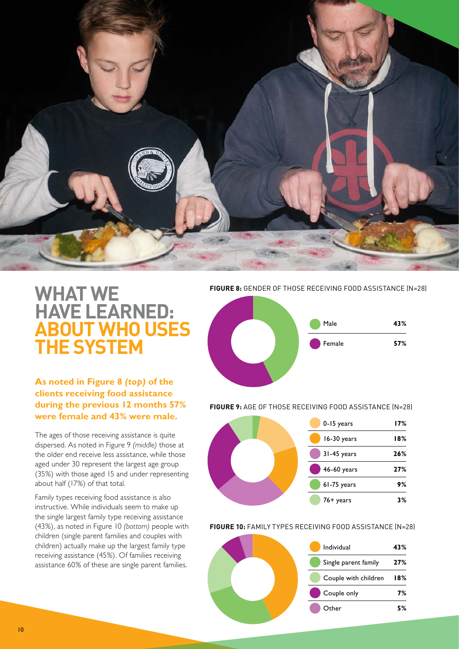

### **WHAT WE HAVE LEARNED: ABOUT WHO USES THE SYSTEM**

### **As noted in Figure 8** *(top)* **of the clients receiving food assistance during the previous 12 months 57% were female and 43% were male.**

The ages of those receiving assistance is quite dispersed. As noted in Figure 9 *(middle)* those at the older end receive less assistance, while those aged under 30 represent the largest age group (35%) with those aged 15 and under representing about half (17%) of that total.

Family types receiving food assistance is also instructive. While individuals seem to make up the single largest family type receiving assistance (43%), as noted in Figure 10 *(bottom)* people with children (single parent families and couples with children) actually make up the largest family type receiving assistance (45%). Of families receiving assistance 60% of these are single parent families.

**FIGURE 8:** GENDER OF THOSE RECEIVING FOOD ASSISTANCE (N=28)



#### **FIGURE 9:** AGE OF THOSE RECEIVING FOOD ASSISTANCE (N=28)



#### **FIGURE 10:** FAMILY TYPES RECEIVING FOOD ASSISTANCE (N=28)

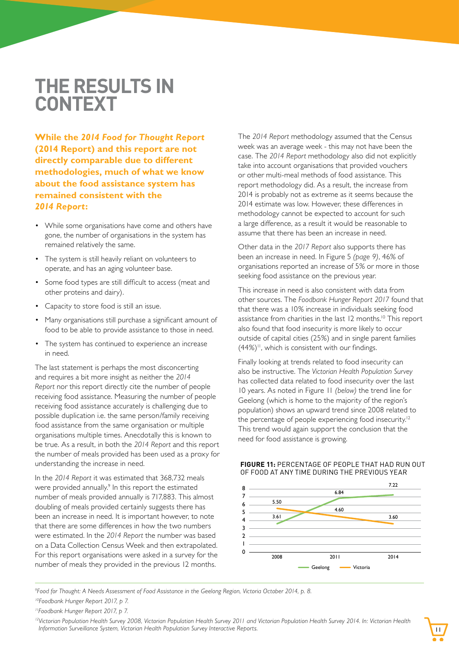# **THE RESULTS IN CONTEXT**

**While the** *2014 Food for Thought Report*  **(2014 Report) and this report are not directly comparable due to different methodologies, much of what we know about the food assistance system has remained consistent with the** *2014 Report***:**

- While some organisations have come and others have gone, the number of organisations in the system has remained relatively the same.
- The system is still heavily reliant on volunteers to operate, and has an aging volunteer base.
- Some food types are still difficult to access (meat and other proteins and dairy).
- Capacity to store food is still an issue.
- Many organisations still purchase a significant amount of food to be able to provide assistance to those in need.
- The system has continued to experience an increase in need.

The last statement is perhaps the most disconcerting and requires a bit more insight as neither the *2014 Report* nor this report directly cite the number of people receiving food assistance. Measuring the number of people receiving food assistance accurately is challenging due to possible duplication i.e. the same person/family receiving food assistance from the same organisation or multiple organisations multiple times. Anecdotally this is known to be true. As a result, in both the *2014 Report* and this report the number of meals provided has been used as a proxy for understanding the increase in need.

In the *2014 Report* it was estimated that 368,732 meals were provided annually.<sup>9</sup> In this report the estimated number of meals provided annually is 717,883. This almost doubling of meals provided certainly suggests there has been an increase in need. It is important however, to note that there are some differences in how the two numbers were estimated. In the *2014 Report* the number was based on a Data Collection Census Week and then extrapolated. For this report organisations were asked in a survey for the number of meals they provided in the previous 12 months.

The *2014 Report* methodology assumed that the Census week was an average week - this may not have been the case. The *2014 Report* methodology also did not explicitly take into account organisations that provided vouchers or other multi-meal methods of food assistance. This report methodology did. As a result, the increase from 2014 is probably not as extreme as it seems because the 2014 estimate was low. However, these differences in methodology cannot be expected to account for such a large difference, as a result it would be reasonable to assume that there has been an increase in need.

Other data in the *2017 Report* also supports there has been an increase in need. In Figure 5 *(page 9)*, 46% of organisations reported an increase of 5% or more in those seeking food assistance on the previous year.

This increase in need is also consistent with data from other sources. The *Foodbank Hunger Report 2017* found that that there was a 10% increase in individuals seeking food assistance from charities in the last 12 months.<sup>10</sup> This report also found that food insecurity is more likely to occur outside of capital cities (25%) and in single parent families  $(44%)$ <sup> $\parallel$ </sup>, which is consistent with our findings.

Finally looking at trends related to food insecurity can also be instructive. The *Victorian Health Population Survey* has collected data related to food insecurity over the last 10 years. As noted in Figure 11 *(below)* the trend line for Geelong (which is home to the majority of the region's population) shows an upward trend since 2008 related to the percentage of people experiencing food insecurity.<sup>12</sup> This trend would again support the conclusion that the need for food assistance is growing.

#### **FIGURE 11:** PERCENTAGE OF PEOPLE THAT HAD RUN OUT OF FOOD AT ANY TIME DURING THE PREVIOUS YEAR



*9 Food for Thought: A Needs Assessment of Food Assistance in the Geelong Region, Victoria October 2014, p. 8.*

*10Foodbank Hunger Report 2017, p 7.*

*11Foodbank Hunger Report 2017, p 7.*

*12Victorian Population Health Survey 2008, Victorian Population Health Survey 2011 and Victorian Population Health Survey 2014. In: Victorian Health Information Surveillance System, Victorian Health Population Survey Interactive Reports.*